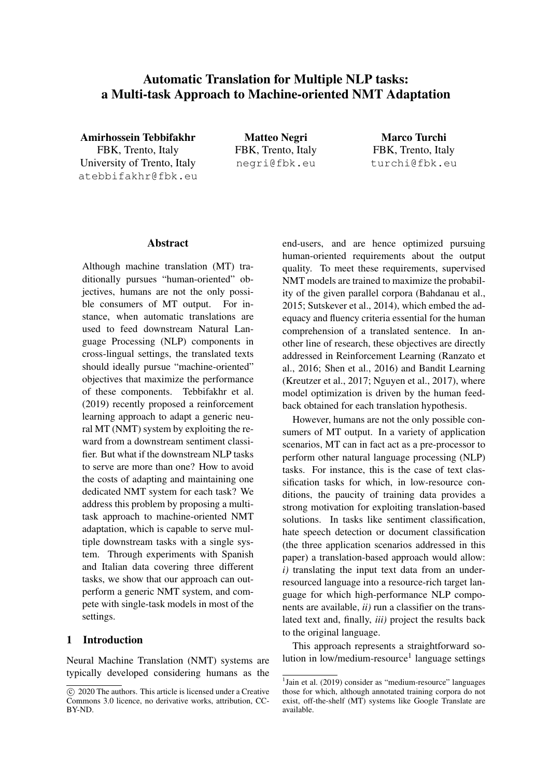# Automatic Translation for Multiple NLP tasks: a Multi-task Approach to Machine-oriented NMT Adaptation

Amirhossein Tebbifakhr FBK, Trento, Italy University of Trento, Italy atebbifakhr@fbk.eu

Matteo Negri FBK, Trento, Italy negri@fbk.eu

Marco Turchi FBK, Trento, Italy turchi@fbk.eu

#### Abstract

Although machine translation (MT) traditionally pursues "human-oriented" objectives, humans are not the only possible consumers of MT output. For instance, when automatic translations are used to feed downstream Natural Language Processing (NLP) components in cross-lingual settings, the translated texts should ideally pursue "machine-oriented" objectives that maximize the performance of these components. Tebbifakhr et al. (2019) recently proposed a reinforcement learning approach to adapt a generic neural MT (NMT) system by exploiting the reward from a downstream sentiment classifier. But what if the downstream NLP tasks to serve are more than one? How to avoid the costs of adapting and maintaining one dedicated NMT system for each task? We address this problem by proposing a multitask approach to machine-oriented NMT adaptation, which is capable to serve multiple downstream tasks with a single system. Through experiments with Spanish and Italian data covering three different tasks, we show that our approach can outperform a generic NMT system, and compete with single-task models in most of the settings.

# 1 Introduction

Neural Machine Translation (NMT) systems are typically developed considering humans as the end-users, and are hence optimized pursuing human-oriented requirements about the output quality. To meet these requirements, supervised NMT models are trained to maximize the probability of the given parallel corpora (Bahdanau et al., 2015; Sutskever et al., 2014), which embed the adequacy and fluency criteria essential for the human comprehension of a translated sentence. In another line of research, these objectives are directly addressed in Reinforcement Learning (Ranzato et al., 2016; Shen et al., 2016) and Bandit Learning (Kreutzer et al., 2017; Nguyen et al., 2017), where model optimization is driven by the human feedback obtained for each translation hypothesis.

However, humans are not the only possible consumers of MT output. In a variety of application scenarios, MT can in fact act as a pre-processor to perform other natural language processing (NLP) tasks. For instance, this is the case of text classification tasks for which, in low-resource conditions, the paucity of training data provides a strong motivation for exploiting translation-based solutions. In tasks like sentiment classification, hate speech detection or document classification (the three application scenarios addressed in this paper) a translation-based approach would allow: *i)* translating the input text data from an underresourced language into a resource-rich target language for which high-performance NLP components are available, *ii)* run a classifier on the translated text and, finally, *iii)* project the results back to the original language.

This approach represents a straightforward solution in low/medium-resource<sup>1</sup> language settings

 $\overline{c}$  2020 The authors. This article is licensed under a Creative Commons 3.0 licence, no derivative works, attribution, CC-BY-ND.

<sup>&</sup>lt;sup>1</sup>Jain et al. (2019) consider as "medium-resource" languages those for which, although annotated training corpora do not exist, off-the-shelf (MT) systems like Google Translate are available.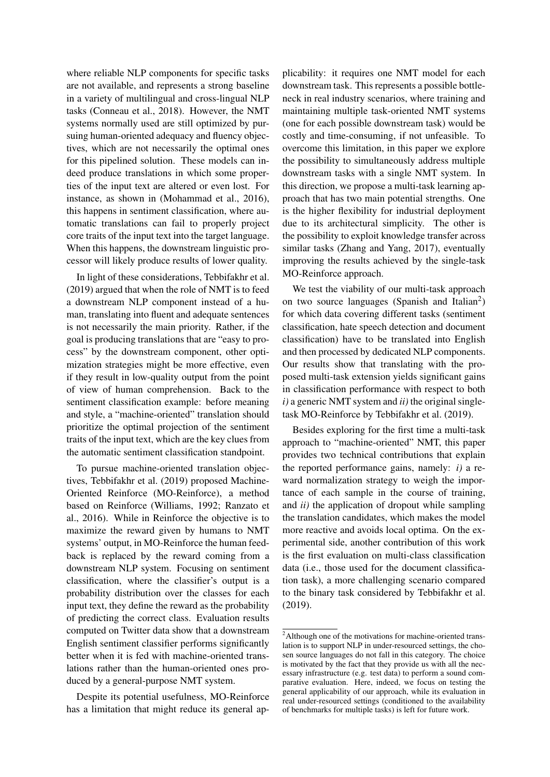where reliable NLP components for specific tasks are not available, and represents a strong baseline in a variety of multilingual and cross-lingual NLP tasks (Conneau et al., 2018). However, the NMT systems normally used are still optimized by pursuing human-oriented adequacy and fluency objectives, which are not necessarily the optimal ones for this pipelined solution. These models can indeed produce translations in which some properties of the input text are altered or even lost. For instance, as shown in (Mohammad et al., 2016), this happens in sentiment classification, where automatic translations can fail to properly project core traits of the input text into the target language. When this happens, the downstream linguistic processor will likely produce results of lower quality.

In light of these considerations, Tebbifakhr et al. (2019) argued that when the role of NMT is to feed a downstream NLP component instead of a human, translating into fluent and adequate sentences is not necessarily the main priority. Rather, if the goal is producing translations that are "easy to process" by the downstream component, other optimization strategies might be more effective, even if they result in low-quality output from the point of view of human comprehension. Back to the sentiment classification example: before meaning and style, a "machine-oriented" translation should prioritize the optimal projection of the sentiment traits of the input text, which are the key clues from the automatic sentiment classification standpoint.

To pursue machine-oriented translation objectives, Tebbifakhr et al. (2019) proposed Machine-Oriented Reinforce (MO-Reinforce), a method based on Reinforce (Williams, 1992; Ranzato et al., 2016). While in Reinforce the objective is to maximize the reward given by humans to NMT systems' output, in MO-Reinforce the human feedback is replaced by the reward coming from a downstream NLP system. Focusing on sentiment classification, where the classifier's output is a probability distribution over the classes for each input text, they define the reward as the probability of predicting the correct class. Evaluation results computed on Twitter data show that a downstream English sentiment classifier performs significantly better when it is fed with machine-oriented translations rather than the human-oriented ones produced by a general-purpose NMT system.

Despite its potential usefulness, MO-Reinforce has a limitation that might reduce its general applicability: it requires one NMT model for each downstream task. This represents a possible bottleneck in real industry scenarios, where training and maintaining multiple task-oriented NMT systems (one for each possible downstream task) would be costly and time-consuming, if not unfeasible. To overcome this limitation, in this paper we explore the possibility to simultaneously address multiple downstream tasks with a single NMT system. In this direction, we propose a multi-task learning approach that has two main potential strengths. One is the higher flexibility for industrial deployment due to its architectural simplicity. The other is the possibility to exploit knowledge transfer across similar tasks (Zhang and Yang, 2017), eventually improving the results achieved by the single-task MO-Reinforce approach.

We test the viability of our multi-task approach on two source languages (Spanish and Italian<sup>2</sup>) for which data covering different tasks (sentiment classification, hate speech detection and document classification) have to be translated into English and then processed by dedicated NLP components. Our results show that translating with the proposed multi-task extension yields significant gains in classification performance with respect to both *i)* a generic NMT system and *ii)* the original singletask MO-Reinforce by Tebbifakhr et al. (2019).

Besides exploring for the first time a multi-task approach to "machine-oriented" NMT, this paper provides two technical contributions that explain the reported performance gains, namely: *i)* a reward normalization strategy to weigh the importance of each sample in the course of training, and *ii)* the application of dropout while sampling the translation candidates, which makes the model more reactive and avoids local optima. On the experimental side, another contribution of this work is the first evaluation on multi-class classification data (i.e., those used for the document classification task), a more challenging scenario compared to the binary task considered by Tebbifakhr et al. (2019).

<sup>2</sup>Although one of the motivations for machine-oriented translation is to support NLP in under-resourced settings, the chosen source languages do not fall in this category. The choice is motivated by the fact that they provide us with all the necessary infrastructure (e.g. test data) to perform a sound comparative evaluation. Here, indeed, we focus on testing the general applicability of our approach, while its evaluation in real under-resourced settings (conditioned to the availability of benchmarks for multiple tasks) is left for future work.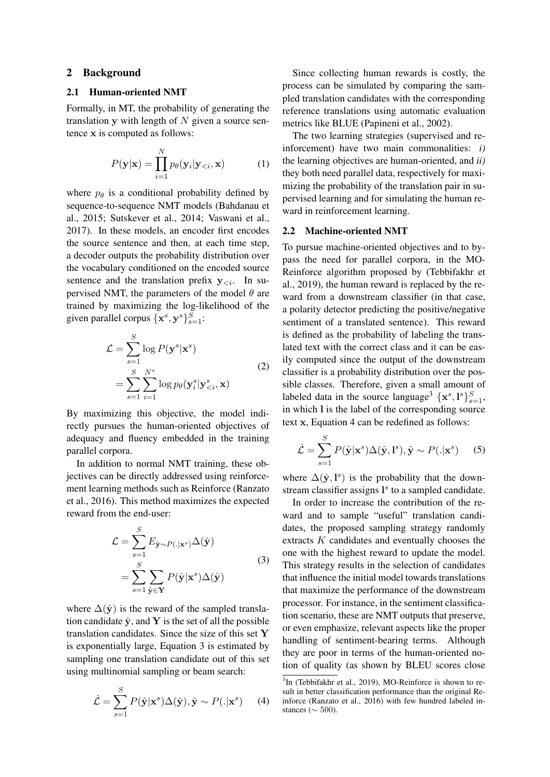### 2 Background

#### 2.1 Human-oriented NMT

Formally, in MT, the probability of generating the translation y with length of  $N$  given a source sentence x is computed as follows:

$$
P(\mathbf{y}|\mathbf{x}) = \prod_{i=1}^{N} p_{\theta}(\mathbf{y}_i|\mathbf{y}_{< i}, \mathbf{x}) \tag{1}
$$

where  $p_{\theta}$  is a conditional probability defined by sequence-to-sequence NMT models (Bahdanau et al., 2015; Sutskever et al., 2014; Vaswani et al., 2017). In these models, an encoder first encodes the source sentence and then, at each time step, a decoder outputs the probability distribution over the vocabulary conditioned on the encoded source sentence and the translation prefix  $y_{\leq i}$ . In supervised NMT, the parameters of the model  $\theta$  are trained by maximizing the log-likelihood of the given parallel corpus  $\{x^s, y^s\}_{s=1}^S$ :

$$
\mathcal{L} = \sum_{s=1}^{S} \log P(\mathbf{y}^s | \mathbf{x}^s)
$$
  
= 
$$
\sum_{s=1}^{S} \sum_{i=1}^{N^s} \log p_{\theta}(\mathbf{y}_i^s | \mathbf{y}_{ (2)
$$

By maximizing this objective, the model indirectly pursues the human-oriented objectives of adequacy and fluency embedded in the training parallel corpora.

In addition to normal NMT training, these objectives can be directly addressed using reinforcement learning methods such as Reinforce (Ranzato et al., 2016). This method maximizes the expected reward from the end-user:

$$
\mathcal{L} = \sum_{s=1}^{S} E_{\hat{\mathbf{y}} \sim P(.|\mathbf{x}^s)} \Delta(\hat{\mathbf{y}})
$$

$$
= \sum_{s=1}^{S} \sum_{\hat{\mathbf{y}} \in \mathbf{Y}} P(\hat{\mathbf{y}} | \mathbf{x}^s) \Delta(\hat{\mathbf{y}})
$$
(3)

where  $\Delta(\hat{y})$  is the reward of the sampled translation candidate  $\hat{y}$ , and Y is the set of all the possible translation candidates. Since the size of this set  $Y$ is exponentially large, Equation 3 is estimated by sampling one translation candidate out of this set using multinomial sampling or beam search:

$$
\hat{\mathcal{L}} = \sum_{s=1}^{S} P(\hat{\mathbf{y}} | \mathbf{x}^s) \Delta(\hat{\mathbf{y}}), \hat{\mathbf{y}} \sim P(.|\mathbf{x}^s)
$$
 (4)

Since collecting human rewards is costly, the process can be simulated by comparing the sampled translation candidates with the corresponding reference translations using automatic evaluation metrics like BLUE (Papineni et al., 2002).

The two learning strategies (supervised and reinforcement) have two main commonalities: *i)* the learning objectives are human-oriented, and *ii)* they both need parallel data, respectively for maximizing the probability of the translation pair in supervised learning and for simulating the human reward in reinforcement learning.

### 2.2 Machine-oriented NMT

To pursue machine-oriented objectives and to bypass the need for parallel corpora, in the MO-Reinforce algorithm proposed by (Tebbifakhr et al., 2019), the human reward is replaced by the reward from a downstream classifier (in that case, a polarity detector predicting the positive/negative sentiment of a translated sentence). This reward is defined as the probability of labeling the translated text with the correct class and it can be easily computed since the output of the downstream classifier is a probability distribution over the possible classes. Therefore, given a small amount of labeled data in the source language<sup>3</sup>  $\{x^s, l^s\}_{s=1}^S$ , in which l is the label of the corresponding source text x, Equation 4 can be redefined as follows:

$$
\hat{\mathcal{L}} = \sum_{s=1}^{S} P(\hat{\mathbf{y}} | \mathbf{x}^s) \Delta(\hat{\mathbf{y}}, \mathbf{l}^s), \hat{\mathbf{y}} \sim P(. | \mathbf{x}^s)
$$
 (5)

where  $\Delta(\hat{\mathbf{y}}, \mathbf{l}^s)$  is the probability that the downstream classifier assigns  $l^s$  to a sampled candidate.

In order to increase the contribution of the reward and to sample "useful" translation candidates, the proposed sampling strategy randomly extracts K candidates and eventually chooses the one with the highest reward to update the model. This strategy results in the selection of candidates that influence the initial model towards translations that maximize the performance of the downstream processor. For instance, in the sentiment classification scenario, these are NMT outputs that preserve, or even emphasize, relevant aspects like the proper handling of sentiment-bearing terms. Although they are poor in terms of the human-oriented notion of quality (as shown by BLEU scores close

<sup>&</sup>lt;sup>3</sup>In (Tebbifakhr et al., 2019), MO-Reinforce is shown to result in better classification performance than the original Reinforce (Ranzato et al., 2016) with few hundred labeled instances ( $\sim$  500).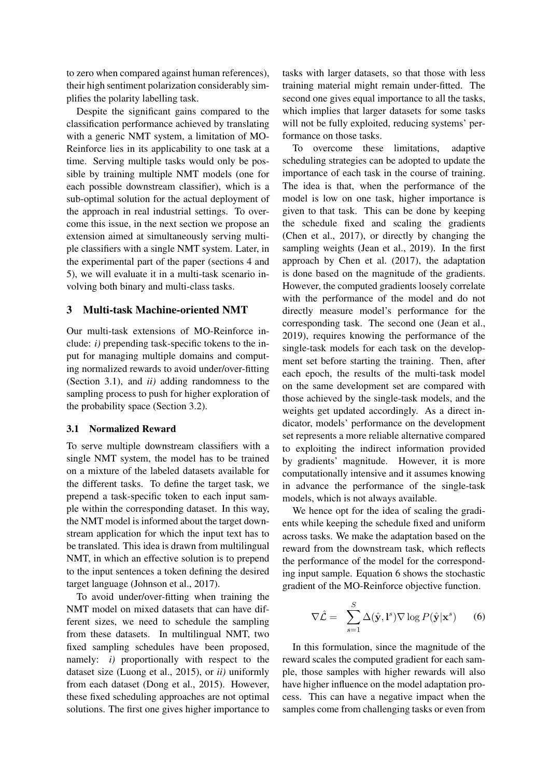to zero when compared against human references), their high sentiment polarization considerably simplifies the polarity labelling task.

Despite the significant gains compared to the classification performance achieved by translating with a generic NMT system, a limitation of MO-Reinforce lies in its applicability to one task at a time. Serving multiple tasks would only be possible by training multiple NMT models (one for each possible downstream classifier), which is a sub-optimal solution for the actual deployment of the approach in real industrial settings. To overcome this issue, in the next section we propose an extension aimed at simultaneously serving multiple classifiers with a single NMT system. Later, in the experimental part of the paper (sections 4 and 5), we will evaluate it in a multi-task scenario involving both binary and multi-class tasks.

# 3 Multi-task Machine-oriented NMT

Our multi-task extensions of MO-Reinforce include: *i)* prepending task-specific tokens to the input for managing multiple domains and computing normalized rewards to avoid under/over-fitting (Section 3.1), and *ii)* adding randomness to the sampling process to push for higher exploration of the probability space (Section 3.2).

## 3.1 Normalized Reward

To serve multiple downstream classifiers with a single NMT system, the model has to be trained on a mixture of the labeled datasets available for the different tasks. To define the target task, we prepend a task-specific token to each input sample within the corresponding dataset. In this way, the NMT model is informed about the target downstream application for which the input text has to be translated. This idea is drawn from multilingual NMT, in which an effective solution is to prepend to the input sentences a token defining the desired target language (Johnson et al., 2017).

To avoid under/over-fitting when training the NMT model on mixed datasets that can have different sizes, we need to schedule the sampling from these datasets. In multilingual NMT, two fixed sampling schedules have been proposed, namely: *i)* proportionally with respect to the dataset size (Luong et al., 2015), or *ii)* uniformly from each dataset (Dong et al., 2015). However, these fixed scheduling approaches are not optimal solutions. The first one gives higher importance to tasks with larger datasets, so that those with less training material might remain under-fitted. The second one gives equal importance to all the tasks, which implies that larger datasets for some tasks will not be fully exploited, reducing systems' performance on those tasks.

To overcome these limitations, adaptive scheduling strategies can be adopted to update the importance of each task in the course of training. The idea is that, when the performance of the model is low on one task, higher importance is given to that task. This can be done by keeping the schedule fixed and scaling the gradients (Chen et al., 2017), or directly by changing the sampling weights (Jean et al., 2019). In the first approach by Chen et al. (2017), the adaptation is done based on the magnitude of the gradients. However, the computed gradients loosely correlate with the performance of the model and do not directly measure model's performance for the corresponding task. The second one (Jean et al., 2019), requires knowing the performance of the single-task models for each task on the development set before starting the training. Then, after each epoch, the results of the multi-task model on the same development set are compared with those achieved by the single-task models, and the weights get updated accordingly. As a direct indicator, models' performance on the development set represents a more reliable alternative compared to exploiting the indirect information provided by gradients' magnitude. However, it is more computationally intensive and it assumes knowing in advance the performance of the single-task models, which is not always available.

We hence opt for the idea of scaling the gradients while keeping the schedule fixed and uniform across tasks. We make the adaptation based on the reward from the downstream task, which reflects the performance of the model for the corresponding input sample. Equation 6 shows the stochastic gradient of the MO-Reinforce objective function.

$$
\nabla \hat{\mathcal{L}} = \sum_{s=1}^{S} \Delta(\hat{\mathbf{y}}, \mathbf{l}^s) \nabla \log P(\hat{\mathbf{y}} | \mathbf{x}^s)
$$
 (6)

In this formulation, since the magnitude of the reward scales the computed gradient for each sample, those samples with higher rewards will also have higher influence on the model adaptation process. This can have a negative impact when the samples come from challenging tasks or even from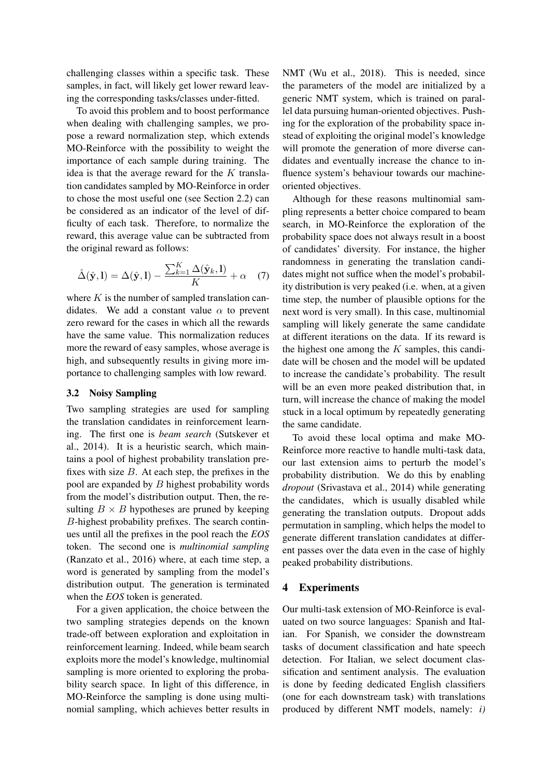challenging classes within a specific task. These samples, in fact, will likely get lower reward leaving the corresponding tasks/classes under-fitted.

To avoid this problem and to boost performance when dealing with challenging samples, we propose a reward normalization step, which extends MO-Reinforce with the possibility to weight the importance of each sample during training. The idea is that the average reward for the  $K$  translation candidates sampled by MO-Reinforce in order to chose the most useful one (see Section 2.2) can be considered as an indicator of the level of difficulty of each task. Therefore, to normalize the reward, this average value can be subtracted from the original reward as follows:

$$
\hat{\Delta}(\hat{\mathbf{y}}, \mathbf{l}) = \Delta(\hat{\mathbf{y}}, \mathbf{l}) - \frac{\sum_{k=1}^{K} \Delta(\hat{\mathbf{y}}_k, \mathbf{l})}{K} + \alpha \quad (7)
$$

where  $K$  is the number of sampled translation candidates. We add a constant value  $\alpha$  to prevent zero reward for the cases in which all the rewards have the same value. This normalization reduces more the reward of easy samples, whose average is high, and subsequently results in giving more importance to challenging samples with low reward.

## 3.2 Noisy Sampling

Two sampling strategies are used for sampling the translation candidates in reinforcement learning. The first one is *beam search* (Sutskever et al., 2014). It is a heuristic search, which maintains a pool of highest probability translation prefixes with size  $B$ . At each step, the prefixes in the pool are expanded by B highest probability words from the model's distribution output. Then, the resulting  $B \times B$  hypotheses are pruned by keeping B-highest probability prefixes. The search continues until all the prefixes in the pool reach the *EOS* token. The second one is *multinomial sampling* (Ranzato et al., 2016) where, at each time step, a word is generated by sampling from the model's distribution output. The generation is terminated when the *EOS* token is generated.

For a given application, the choice between the two sampling strategies depends on the known trade-off between exploration and exploitation in reinforcement learning. Indeed, while beam search exploits more the model's knowledge, multinomial sampling is more oriented to exploring the probability search space. In light of this difference, in MO-Reinforce the sampling is done using multinomial sampling, which achieves better results in NMT (Wu et al., 2018). This is needed, since the parameters of the model are initialized by a generic NMT system, which is trained on parallel data pursuing human-oriented objectives. Pushing for the exploration of the probability space instead of exploiting the original model's knowledge will promote the generation of more diverse candidates and eventually increase the chance to influence system's behaviour towards our machineoriented objectives.

Although for these reasons multinomial sampling represents a better choice compared to beam search, in MO-Reinforce the exploration of the probability space does not always result in a boost of candidates' diversity. For instance, the higher randomness in generating the translation candidates might not suffice when the model's probability distribution is very peaked (i.e. when, at a given time step, the number of plausible options for the next word is very small). In this case, multinomial sampling will likely generate the same candidate at different iterations on the data. If its reward is the highest one among the  $K$  samples, this candidate will be chosen and the model will be updated to increase the candidate's probability. The result will be an even more peaked distribution that, in turn, will increase the chance of making the model stuck in a local optimum by repeatedly generating the same candidate.

To avoid these local optima and make MO-Reinforce more reactive to handle multi-task data, our last extension aims to perturb the model's probability distribution. We do this by enabling *dropout* (Srivastava et al., 2014) while generating the candidates, which is usually disabled while generating the translation outputs. Dropout adds permutation in sampling, which helps the model to generate different translation candidates at different passes over the data even in the case of highly peaked probability distributions.

## 4 Experiments

Our multi-task extension of MO-Reinforce is evaluated on two source languages: Spanish and Italian. For Spanish, we consider the downstream tasks of document classification and hate speech detection. For Italian, we select document classification and sentiment analysis. The evaluation is done by feeding dedicated English classifiers (one for each downstream task) with translations produced by different NMT models, namely: *i)*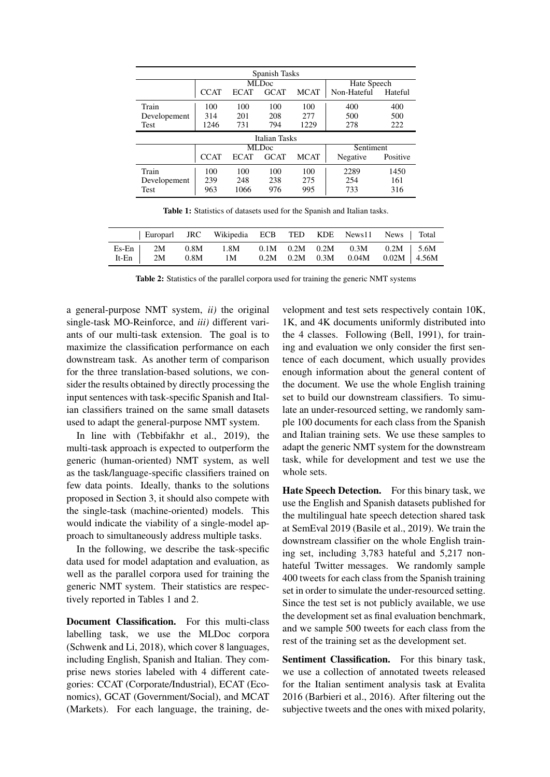| Spanish Tasks |                   |             |             |             |             |          |  |
|---------------|-------------------|-------------|-------------|-------------|-------------|----------|--|
|               | MLD <sub>oc</sub> |             |             |             | Hate Speech |          |  |
|               | <b>CCAT</b>       | <b>ECAT</b> | <b>GCAT</b> | <b>MCAT</b> | Non-Hateful | Hateful  |  |
| Train         | 100               | 100         | 100         | 100         | 400         | 400      |  |
| Developement  | 314               | 201         | 208         | 277         | 500         | 500      |  |
| Test          | 1246              | 731         | 794         | 1229        | 278         | 222      |  |
| Italian Tasks |                   |             |             |             |             |          |  |
|               | MLD <sub>oc</sub> |             |             | Sentiment   |             |          |  |
|               | <b>CCAT</b>       | <b>ECAT</b> | <b>GCAT</b> | <b>MCAT</b> | Negative    | Positive |  |
| Train         | 100               | 100         | 100         | 100         | 2289        | 1450     |  |
| Developement  | 239               | 248         | 238         | 275         | 254         | 161      |  |
| <b>Test</b>   | 963               | 1066        | 976         | 995         | 733         | 316      |  |

Table 1: Statistics of datasets used for the Spanish and Italian tasks.

|  | Europarl JRC Wikipedia ECB TED KDE News11 News Total                       |  |                                    |  |
|--|----------------------------------------------------------------------------|--|------------------------------------|--|
|  | Es-En   2M 0.8M 1.8M 0.1M 0.2M 0.2M 0.3M 0.2M   5.6M<br>It-En $2M$ 0.8M 1M |  | $0.2M$ 0.2M 0.3M 0.04M 0.02M 4.56M |  |

Table 2: Statistics of the parallel corpora used for training the generic NMT systems

a general-purpose NMT system, *ii)* the original single-task MO-Reinforce, and *iii)* different variants of our multi-task extension. The goal is to maximize the classification performance on each downstream task. As another term of comparison for the three translation-based solutions, we consider the results obtained by directly processing the input sentences with task-specific Spanish and Italian classifiers trained on the same small datasets used to adapt the general-purpose NMT system.

In line with (Tebbifakhr et al., 2019), the multi-task approach is expected to outperform the generic (human-oriented) NMT system, as well as the task/language-specific classifiers trained on few data points. Ideally, thanks to the solutions proposed in Section 3, it should also compete with the single-task (machine-oriented) models. This would indicate the viability of a single-model approach to simultaneously address multiple tasks.

In the following, we describe the task-specific data used for model adaptation and evaluation, as well as the parallel corpora used for training the generic NMT system. Their statistics are respectively reported in Tables 1 and 2.

Document Classification. For this multi-class labelling task, we use the MLDoc corpora (Schwenk and Li, 2018), which cover 8 languages, including English, Spanish and Italian. They comprise news stories labeled with 4 different categories: CCAT (Corporate/Industrial), ECAT (Economics), GCAT (Government/Social), and MCAT (Markets). For each language, the training, development and test sets respectively contain 10K, 1K, and 4K documents uniformly distributed into the 4 classes. Following (Bell, 1991), for training and evaluation we only consider the first sentence of each document, which usually provides enough information about the general content of the document. We use the whole English training set to build our downstream classifiers. To simulate an under-resourced setting, we randomly sample 100 documents for each class from the Spanish and Italian training sets. We use these samples to adapt the generic NMT system for the downstream task, while for development and test we use the whole sets.

Hate Speech Detection. For this binary task, we use the English and Spanish datasets published for the multilingual hate speech detection shared task at SemEval 2019 (Basile et al., 2019). We train the downstream classifier on the whole English training set, including 3,783 hateful and 5,217 nonhateful Twitter messages. We randomly sample 400 tweets for each class from the Spanish training set in order to simulate the under-resourced setting. Since the test set is not publicly available, we use the development set as final evaluation benchmark, and we sample 500 tweets for each class from the rest of the training set as the development set.

Sentiment Classification. For this binary task, we use a collection of annotated tweets released for the Italian sentiment analysis task at Evalita 2016 (Barbieri et al., 2016). After filtering out the subjective tweets and the ones with mixed polarity,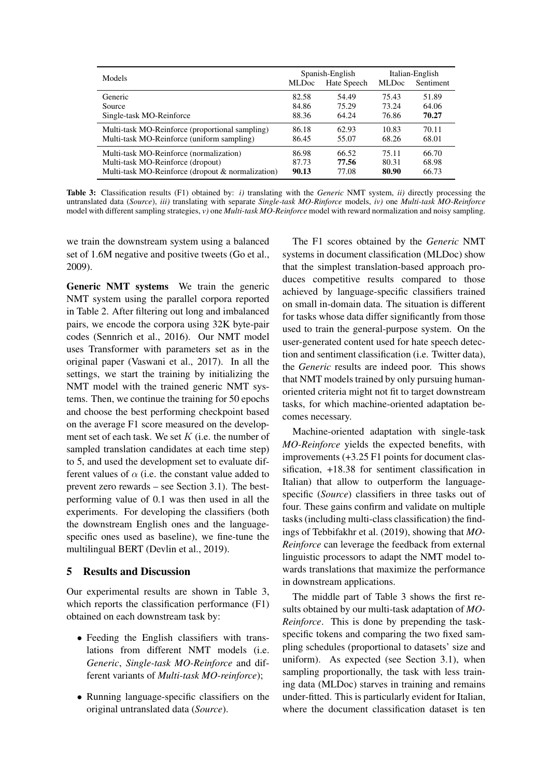| Models                                            | <b>MLDoc</b> | Spanish-English<br>Hate Speech | <b>MLDoc</b> | Italian-English<br>Sentiment |
|---------------------------------------------------|--------------|--------------------------------|--------------|------------------------------|
| Generic                                           | 82.58        | 54.49                          | 75.43        | 51.89                        |
| Source                                            | 84.86        | 75.29                          | 73.24        | 64.06                        |
| Single-task MO-Reinforce                          | 88.36        | 64.24                          | 76.86        | 70.27                        |
| Multi-task MO-Reinforce (proportional sampling)   | 86.18        | 62.93                          | 10.83        | 70.11                        |
| Multi-task MO-Reinforce (uniform sampling)        | 86.45        | 55.07                          | 68.26        | 68.01                        |
| Multi-task MO-Reinforce (normalization)           | 86.98        | 66.52                          | 75.11        | 66.70                        |
| Multi-task MO-Reinforce (dropout)                 | 87.73        | 77.56                          | 80.31        | 68.98                        |
| Multi-task MO-Reinforce (dropout & normalization) | 90.13        | 77.08                          | 80.90        | 66.73                        |

Table 3: Classification results (F1) obtained by: *i)* translating with the *Generic* NMT system, *ii)* directly processing the untranslated data (*Source*), *iii)* translating with separate *Single-task MO-Rinforce* models, *iv)* one *Multi-task MO-Reinforce* model with different sampling strategies, *v)* one *Multi-task MO-Reinforce* model with reward normalization and noisy sampling.

we train the downstream system using a balanced set of 1.6M negative and positive tweets (Go et al., 2009).

Generic NMT systems We train the generic NMT system using the parallel corpora reported in Table 2. After filtering out long and imbalanced pairs, we encode the corpora using 32K byte-pair codes (Sennrich et al., 2016). Our NMT model uses Transformer with parameters set as in the original paper (Vaswani et al., 2017). In all the settings, we start the training by initializing the NMT model with the trained generic NMT systems. Then, we continue the training for 50 epochs and choose the best performing checkpoint based on the average F1 score measured on the development set of each task. We set  $K$  (i.e. the number of sampled translation candidates at each time step) to 5, and used the development set to evaluate different values of  $\alpha$  (i.e. the constant value added to prevent zero rewards – see Section 3.1). The bestperforming value of 0.1 was then used in all the experiments. For developing the classifiers (both the downstream English ones and the languagespecific ones used as baseline), we fine-tune the multilingual BERT (Devlin et al., 2019).

## 5 Results and Discussion

Our experimental results are shown in Table 3, which reports the classification performance (F1) obtained on each downstream task by:

- Feeding the English classifiers with translations from different NMT models (i.e. *Generic*, *Single-task MO-Reinforce* and different variants of *Multi-task MO-reinforce*);
- Running language-specific classifiers on the original untranslated data (*Source*).

The F1 scores obtained by the *Generic* NMT systems in document classification (MLDoc) show that the simplest translation-based approach produces competitive results compared to those achieved by language-specific classifiers trained on small in-domain data. The situation is different for tasks whose data differ significantly from those used to train the general-purpose system. On the user-generated content used for hate speech detection and sentiment classification (i.e. Twitter data), the *Generic* results are indeed poor. This shows that NMT models trained by only pursuing humanoriented criteria might not fit to target downstream tasks, for which machine-oriented adaptation becomes necessary.

Machine-oriented adaptation with single-task *MO-Reinforce* yields the expected benefits, with improvements (+3.25 F1 points for document classification, +18.38 for sentiment classification in Italian) that allow to outperform the languagespecific (*Source*) classifiers in three tasks out of four. These gains confirm and validate on multiple tasks (including multi-class classification) the findings of Tebbifakhr et al. (2019), showing that *MO-Reinforce* can leverage the feedback from external linguistic processors to adapt the NMT model towards translations that maximize the performance in downstream applications.

The middle part of Table 3 shows the first results obtained by our multi-task adaptation of *MO-Reinforce*. This is done by prepending the taskspecific tokens and comparing the two fixed sampling schedules (proportional to datasets' size and uniform). As expected (see Section 3.1), when sampling proportionally, the task with less training data (MLDoc) starves in training and remains under-fitted. This is particularly evident for Italian, where the document classification dataset is ten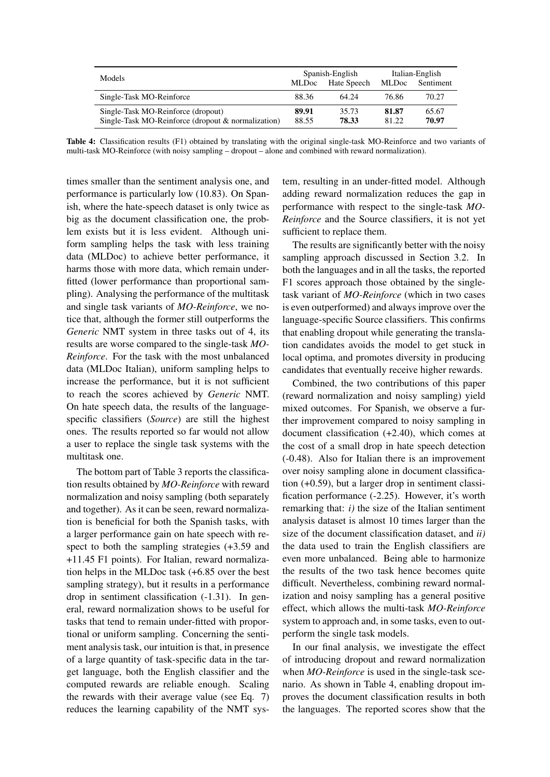| Models                                                                                   |                | Spanish-English | Italian-English |                |
|------------------------------------------------------------------------------------------|----------------|-----------------|-----------------|----------------|
|                                                                                          | <b>MLDoc</b>   | Hate Speech     | <b>MLDoc</b>    | Sentiment      |
| Single-Task MO-Reinforce                                                                 | 88.36          | 64.24           | 76.86           | 70.27          |
| Single-Task MO-Reinforce (dropout)<br>Single-Task MO-Reinforce (dropout & normalization) | 89.91<br>88.55 | 35.73<br>78.33  | 81.87<br>81.22  | 65.67<br>70.97 |

Table 4: Classification results (F1) obtained by translating with the original single-task MO-Reinforce and two variants of multi-task MO-Reinforce (with noisy sampling – dropout – alone and combined with reward normalization).

times smaller than the sentiment analysis one, and performance is particularly low (10.83). On Spanish, where the hate-speech dataset is only twice as big as the document classification one, the problem exists but it is less evident. Although uniform sampling helps the task with less training data (MLDoc) to achieve better performance, it harms those with more data, which remain underfitted (lower performance than proportional sampling). Analysing the performance of the multitask and single task variants of *MO-Reinforce*, we notice that, although the former still outperforms the *Generic* NMT system in three tasks out of 4, its results are worse compared to the single-task *MO-Reinforce*. For the task with the most unbalanced data (MLDoc Italian), uniform sampling helps to increase the performance, but it is not sufficient to reach the scores achieved by *Generic* NMT. On hate speech data, the results of the languagespecific classifiers (*Source*) are still the highest ones. The results reported so far would not allow a user to replace the single task systems with the multitask one.

The bottom part of Table 3 reports the classification results obtained by *MO-Reinforce* with reward normalization and noisy sampling (both separately and together). As it can be seen, reward normalization is beneficial for both the Spanish tasks, with a larger performance gain on hate speech with respect to both the sampling strategies (+3.59 and +11.45 F1 points). For Italian, reward normalization helps in the MLDoc task (+6.85 over the best sampling strategy), but it results in a performance drop in sentiment classification (-1.31). In general, reward normalization shows to be useful for tasks that tend to remain under-fitted with proportional or uniform sampling. Concerning the sentiment analysis task, our intuition is that, in presence of a large quantity of task-specific data in the target language, both the English classifier and the computed rewards are reliable enough. Scaling the rewards with their average value (see Eq. 7) reduces the learning capability of the NMT system, resulting in an under-fitted model. Although adding reward normalization reduces the gap in performance with respect to the single-task *MO-Reinforce* and the Source classifiers, it is not yet sufficient to replace them.

The results are significantly better with the noisy sampling approach discussed in Section 3.2. In both the languages and in all the tasks, the reported F1 scores approach those obtained by the singletask variant of *MO-Reinforce* (which in two cases is even outperformed) and always improve over the language-specific Source classifiers. This confirms that enabling dropout while generating the translation candidates avoids the model to get stuck in local optima, and promotes diversity in producing candidates that eventually receive higher rewards.

Combined, the two contributions of this paper (reward normalization and noisy sampling) yield mixed outcomes. For Spanish, we observe a further improvement compared to noisy sampling in document classification (+2.40), which comes at the cost of a small drop in hate speech detection (-0.48). Also for Italian there is an improvement over noisy sampling alone in document classification (+0.59), but a larger drop in sentiment classification performance (-2.25). However, it's worth remarking that: *i)* the size of the Italian sentiment analysis dataset is almost 10 times larger than the size of the document classification dataset, and *ii)* the data used to train the English classifiers are even more unbalanced. Being able to harmonize the results of the two task hence becomes quite difficult. Nevertheless, combining reward normalization and noisy sampling has a general positive effect, which allows the multi-task *MO-Reinforce* system to approach and, in some tasks, even to outperform the single task models.

In our final analysis, we investigate the effect of introducing dropout and reward normalization when *MO-Reinforce* is used in the single-task scenario. As shown in Table 4, enabling dropout improves the document classification results in both the languages. The reported scores show that the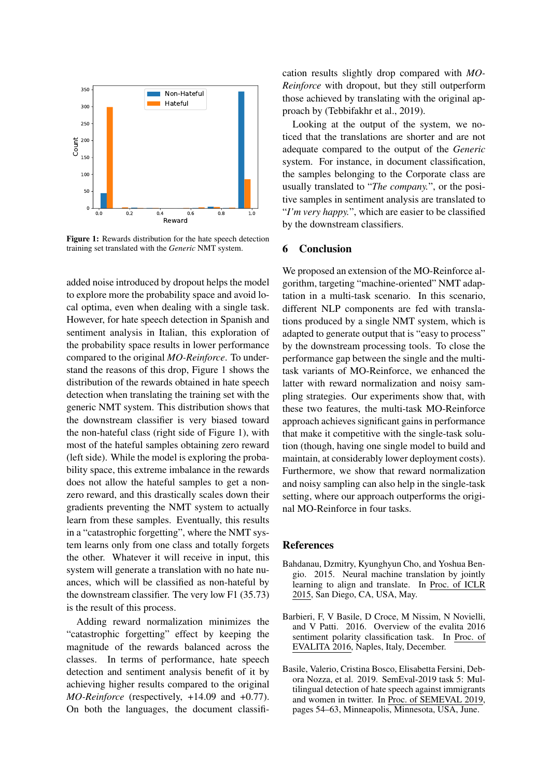

Figure 1: Rewards distribution for the hate speech detection training set translated with the *Generic* NMT system.

added noise introduced by dropout helps the model to explore more the probability space and avoid local optima, even when dealing with a single task. However, for hate speech detection in Spanish and sentiment analysis in Italian, this exploration of the probability space results in lower performance compared to the original *MO-Reinforce*. To understand the reasons of this drop, Figure 1 shows the distribution of the rewards obtained in hate speech detection when translating the training set with the generic NMT system. This distribution shows that the downstream classifier is very biased toward the non-hateful class (right side of Figure 1), with most of the hateful samples obtaining zero reward (left side). While the model is exploring the probability space, this extreme imbalance in the rewards does not allow the hateful samples to get a nonzero reward, and this drastically scales down their gradients preventing the NMT system to actually learn from these samples. Eventually, this results in a "catastrophic forgetting", where the NMT system learns only from one class and totally forgets the other. Whatever it will receive in input, this system will generate a translation with no hate nuances, which will be classified as non-hateful by the downstream classifier. The very low F1 (35.73) is the result of this process.

Adding reward normalization minimizes the "catastrophic forgetting" effect by keeping the magnitude of the rewards balanced across the classes. In terms of performance, hate speech detection and sentiment analysis benefit of it by achieving higher results compared to the original *MO-Reinforce* (respectively, +14.09 and +0.77). On both the languages, the document classification results slightly drop compared with *MO-Reinforce* with dropout, but they still outperform those achieved by translating with the original approach by (Tebbifakhr et al., 2019).

Looking at the output of the system, we noticed that the translations are shorter and are not adequate compared to the output of the *Generic* system. For instance, in document classification, the samples belonging to the Corporate class are usually translated to "*The company.*", or the positive samples in sentiment analysis are translated to "*I'm very happy.*", which are easier to be classified by the downstream classifiers.

# 6 Conclusion

We proposed an extension of the MO-Reinforce algorithm, targeting "machine-oriented" NMT adaptation in a multi-task scenario. In this scenario, different NLP components are fed with translations produced by a single NMT system, which is adapted to generate output that is "easy to process" by the downstream processing tools. To close the performance gap between the single and the multitask variants of MO-Reinforce, we enhanced the latter with reward normalization and noisy sampling strategies. Our experiments show that, with these two features, the multi-task MO-Reinforce approach achieves significant gains in performance that make it competitive with the single-task solution (though, having one single model to build and maintain, at considerably lower deployment costs). Furthermore, we show that reward normalization and noisy sampling can also help in the single-task setting, where our approach outperforms the original MO-Reinforce in four tasks.

#### References

- Bahdanau, Dzmitry, Kyunghyun Cho, and Yoshua Bengio. 2015. Neural machine translation by jointly learning to align and translate. In Proc. of ICLR 2015, San Diego, CA, USA, May.
- Barbieri, F, V Basile, D Croce, M Nissim, N Novielli, and V Patti. 2016. Overview of the evalita 2016 sentiment polarity classification task. In Proc. of EVALITA 2016, Naples, Italy, December.
- Basile, Valerio, Cristina Bosco, Elisabetta Fersini, Debora Nozza, et al. 2019. SemEval-2019 task 5: Multilingual detection of hate speech against immigrants and women in twitter. In Proc. of SEMEVAL 2019, pages 54–63, Minneapolis, Minnesota, USA, June.